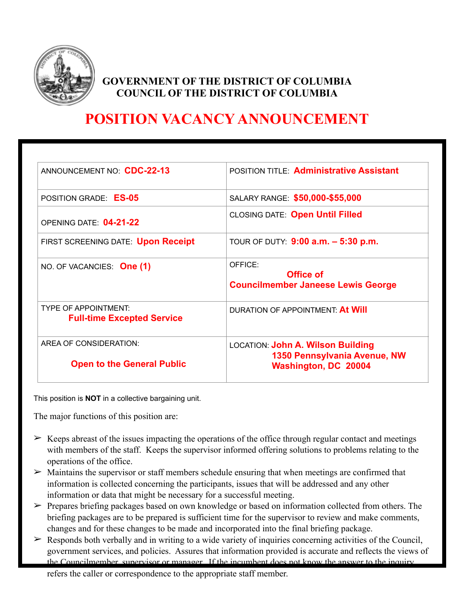

# **GOVERNMENT OF THE DISTRICT OF COLUMBIA COUNCIL OF THE DISTRICT OF COLUMBIA**

# **POSITION VACANCY ANNOUNCEMENT**

| ANNOUNCEMENT NO. CDC-22-13                                       | <b>POSITION TITLE: Administrative Assistant</b>                                                         |
|------------------------------------------------------------------|---------------------------------------------------------------------------------------------------------|
| POSITION GRADE: ES-05                                            | SALARY RANGE: \$50,000-\$55,000                                                                         |
| OPENING DATE: 04-21-22                                           | <b>CLOSING DATE: Open Until Filled</b>                                                                  |
| FIRST SCREENING DATE: Upon Receipt                               | TOUR OF DUTY: 9:00 a.m. - 5:30 p.m.                                                                     |
| NO. OF VACANCIES: One (1)                                        | OFFICE:<br>Office of<br><b>Councilmember Janeese Lewis George</b>                                       |
| <b>TYPE OF APPOINTMENT:</b><br><b>Full-time Excepted Service</b> | DURATION OF APPOINTMENT: At Will                                                                        |
| AREA OF CONSIDERATION:<br><b>Open to the General Public</b>      | <b>LOCATION: John A. Wilson Building</b><br>1350 Pennsylvania Avenue, NW<br><b>Washington, DC 20004</b> |
|                                                                  |                                                                                                         |

This position is **NOT** in a collective bargaining unit.

The major functions of this position are:

- $\geq$  Keeps abreast of the issues impacting the operations of the office through regular contact and meetings with members of the staff. Keeps the supervisor informed offering solutions to problems relating to the operations of the office.
- $\geq$  Maintains the supervisor or staff members schedule ensuring that when meetings are confirmed that information is collected concerning the participants, issues that will be addressed and any other information or data that might be necessary for a successful meeting.
- ➢ Prepares briefing packages based on own knowledge or based on information collected from others. The briefing packages are to be prepared is sufficient time for the supervisor to review and make comments, changes and for these changes to be made and incorporated into the final briefing package.
- $\triangleright$  Responds both verbally and in writing to a wide variety of inquiries concerning activities of the Council, government services, and policies. Assures that information provided is accurate and reflects the views of the Councilmember, supervisor or manager. If the incumbent does not know the answer to the inquiry

refers the caller or correspondence to the appropriate staff member.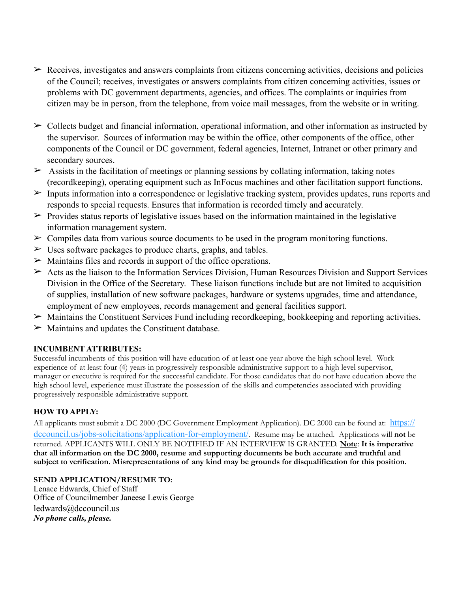- $\triangleright$  Receives, investigates and answers complaints from citizens concerning activities, decisions and policies of the Council; receives, investigates or answers complaints from citizen concerning activities, issues or problems with DC government departments, agencies, and offices. The complaints or inquiries from citizen may be in person, from the telephone, from voice mail messages, from the website or in writing.
- $\geq$  Collects budget and financial information, operational information, and other information as instructed by the supervisor. Sources of information may be within the office, other components of the office, other components of the Council or DC government, federal agencies, Internet, Intranet or other primary and secondary sources.
- $\geq$  Assists in the facilitation of meetings or planning sessions by collating information, taking notes (recordkeeping), operating equipment such as InFocus machines and other facilitation support functions.
- ➢ Inputs information into a correspondence or legislative tracking system, provides updates, runs reports and responds to special requests. Ensures that information is recorded timely and accurately.
- $\triangleright$  Provides status reports of legislative issues based on the information maintained in the legislative information management system.
- $\geq$  Compiles data from various source documents to be used in the program monitoring functions.
- $\geq$  Uses software packages to produce charts, graphs, and tables.
- $\triangleright$  Maintains files and records in support of the office operations.
- $\triangleright$  Acts as the liaison to the Information Services Division, Human Resources Division and Support Services Division in the Office of the Secretary. These liaison functions include but are not limited to acquisition of supplies, installation of new software packages, hardware or systems upgrades, time and attendance, employment of new employees, records management and general facilities support.
- ➢ Maintains the Constituent Services Fund including recordkeeping, bookkeeping and reporting activities.
- $\triangleright$  Maintains and updates the Constituent database.

## **INCUMBENT ATTRIBUTES:**

Successful incumbents of this position will have education of at least one year above the high school level. Work experience of at least four (4) years in progressively responsible administrative support to a high level supervisor, manager or executive is required for the successful candidate. For those candidates that do not have education above the high school level, experience must illustrate the possession of the skills and competencies associated with providing progressively responsible administrative support.

## **HOW TO APPLY:**

All applicants must submit a DC 2000 (DC Government Employment Application). DC 2000 can be found at: [https://](https://dccouncil.us/jobs-solicitations/application-for-employment/) [dccouncil.us/jobs-solicitations/application-for-employment/](https://dccouncil.us/jobs-solicitations/application-for-employment/). Resume may be attached. Applications will **not** be returned. APPLICANTS WILL ONLY BE NOTIFIED IF AN INTERVIEW IS GRANTED. **Note**: **It is imperative that all information on the DC 2000, resume and supporting documents be both accurate and truthful and subject to verification. Misrepresentations of any kind may be grounds for disqualification for this position.**

## **SEND APPLICATION/RESUME TO:**

Lenace Edwards, Chief of Staff Office of Councilmember Janeese Lewis George ledwards@dccouncil.us *No phone calls, please.*